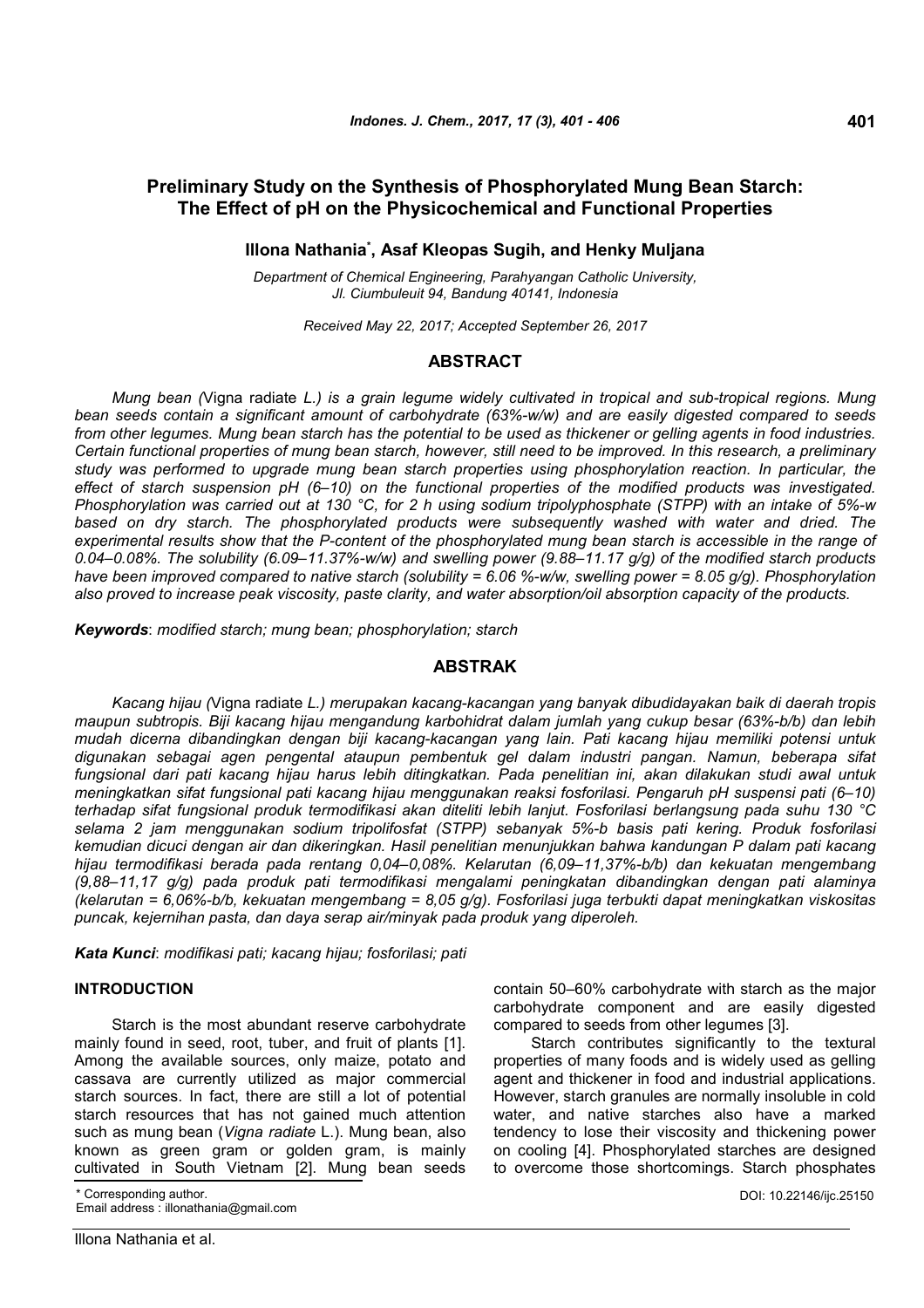# **Preliminary Study on the Synthesis of Phosphorylated Mung Bean Starch: The Effect of pH on the Physicochemical and Functional Properties**

## **Illona Nathania\* , Asaf Kleopas Sugih, and Henky Muljana**

*Department of Chemical Engineering, Parahyangan Catholic University, Jl. Ciumbuleuit 94, Bandung 40141, Indonesia*

*Received May 22, 2017; Accepted September 26, 2017*

## **ABSTRACT**

*Mung bean (*Vigna radiate *L.) is a grain legume widely cultivated in tropical and sub-tropical regions. Mung bean seeds contain a significant amount of carbohydrate (63%-w/w) and are easily digested compared to seeds from other legumes. Mung bean starch has the potential to be used as thickener or gelling agents in food industries. Certain functional properties of mung bean starch, however, still need to be improved. In this research, a preliminary study was performed to upgrade mung bean starch properties using phosphorylation reaction. In particular, the effect of starch suspension pH (6–10) on the functional properties of the modified products was investigated. Phosphorylation was carried out at 130 °C, for 2 h using sodium tripolyphosphate (STPP) with an intake of 5%-w based on dry starch. The phosphorylated products were subsequently washed with water and dried. The experimental results show that the P-content of the phosphorylated mung bean starch is accessible in the range of 0.04–0.08%. The solubility (6.09–11.37%-w/w) and swelling power (9.88–11.17 g/g) of the modified starch products have been improved compared to native starch (solubility = 6.06 %-w/w, swelling power = 8.05 g/g). Phosphorylation also proved to increase peak viscosity, paste clarity, and water absorption/oil absorption capacity of the products.*

*Keywords*: *modified starch; mung bean; phosphorylation; starch*

#### **ABSTRAK**

*Kacang hijau (*Vigna radiate *L.) merupakan kacang-kacangan yang banyak dibudidayakan baik di daerah tropis maupun subtropis. Biji kacang hijau mengandung karbohidrat dalam jumlah yang cukup besar (63%-b/b) dan lebih mudah dicerna dibandingkan dengan biji kacang-kacangan yang lain. Pati kacang hijau memiliki potensi untuk digunakan sebagai agen pengental ataupun pembentuk gel dalam industri pangan. Namun, beberapa sifat fungsional dari pati kacang hijau harus lebih ditingkatkan. Pada penelitian ini, akan dilakukan studi awal untuk meningkatkan sifat fungsional pati kacang hijau menggunakan reaksi fosforilasi. Pengaruh pH suspensi pati (6–10) terhadap sifat fungsional produk termodifikasi akan diteliti lebih lanjut. Fosforilasi berlangsung pada suhu 130 °C selama 2 jam menggunakan sodium tripolifosfat (STPP) sebanyak 5%-b basis pati kering. Produk fosforilasi kemudian dicuci dengan air dan dikeringkan. Hasil penelitian menunjukkan bahwa kandungan P dalam pati kacang hijau termodifikasi berada pada rentang 0,04–0,08%. Kelarutan (6,09–11,37%-b/b) dan kekuatan mengembang (9,88–11,17 g/g) pada produk pati termodifikasi mengalami peningkatan dibandingkan dengan pati alaminya (kelarutan = 6,06%-b/b, kekuatan mengembang = 8,05 g/g). Fosforilasi juga terbukti dapat meningkatkan viskositas puncak, kejernihan pasta, dan daya serap air/minyak pada produk yang diperoleh.*

*Kata Kunci*: *modifikasi pati; kacang hijau; fosforilasi; pati*

#### **INTRODUCTION**

Starch is the most abundant reserve carbohydrate mainly found in seed, root, tuber, and fruit of plants [1]. Among the available sources, only maize, potato and cassava are currently utilized as major commercial starch sources. In fact, there are still a lot of potential starch resources that has not gained much attention such as mung bean (*Vigna radiate* L.). Mung bean, also known as green gram or golden gram, is mainly cultivated in South Vietnam [2]. Mung bean seeds

Corresponding author. Email address : illonathania@gmail.com agent and thickener in food and industrial applications. However, starch granules are normally insoluble in cold

water, and native starches also have a marked tendency to lose their viscosity and thickening power on cooling [4]. Phosphorylated starches are designed to overcome those shortcomings. Starch phosphates

contain 50–60% carbohydrate with starch as the major carbohydrate component and are easily digested

Starch contributes significantly to the textural properties of many foods and is widely used as gelling

compared to seeds from other legumes [3].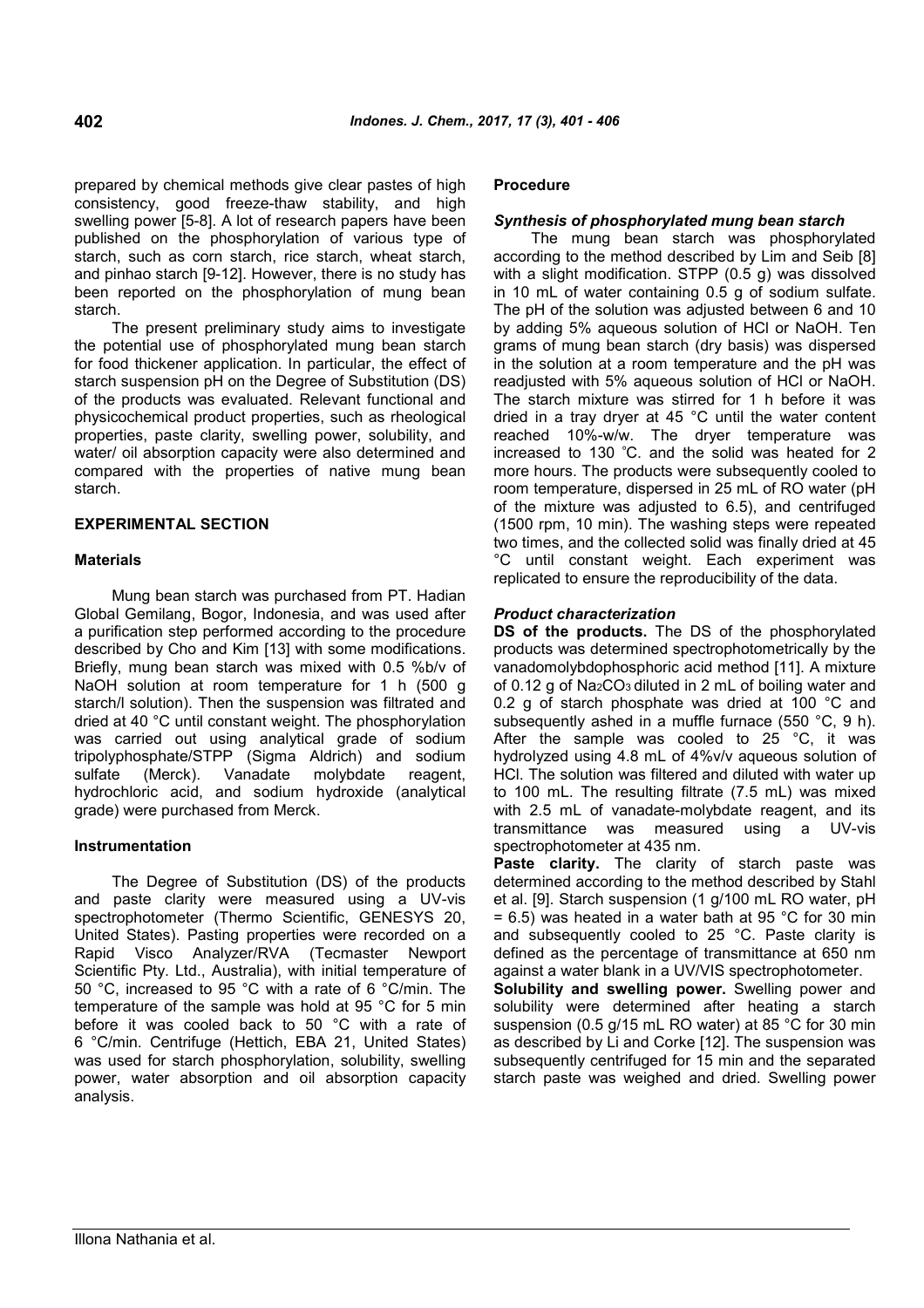prepared by chemical methods give clear pastes of high consistency, good freeze-thaw stability, and high swelling power [5-8]. A lot of research papers have been published on the phosphorylation of various type of starch, such as corn starch, rice starch, wheat starch, and pinhao starch [9-12]. However, there is no study has been reported on the phosphorylation of mung bean starch.

The present preliminary study aims to investigate the potential use of phosphorylated mung bean starch for food thickener application. In particular, the effect of starch suspension pH on the Degree of Substitution (DS) of the products was evaluated. Relevant functional and physicochemical product properties, such as rheological properties, paste clarity, swelling power, solubility, and water/ oil absorption capacity were also determined and compared with the properties of native mung bean starch.

## **EXPERIMENTAL SECTION**

## **Materials**

Mung bean starch was purchased from PT. Hadian Global Gemilang, Bogor, Indonesia, and was used after a purification step performed according to the procedure described by Cho and Kim [13] with some modifications. Briefly, mung bean starch was mixed with 0.5 %b/v of NaOH solution at room temperature for 1 h (500 g starch/l solution). Then the suspension was filtrated and dried at 40 °C until constant weight. The phosphorylation was carried out using analytical grade of sodium tripolyphosphate/STPP (Sigma Aldrich) and sodium sulfate (Merck). Vanadate molybdate reagent, hydrochloric acid, and sodium hydroxide (analytical grade) were purchased from Merck.

## **Instrumentation**

The Degree of Substitution (DS) of the products and paste clarity were measured using a UV-vis spectrophotometer (Thermo Scientific, GENESYS 20, United States). Pasting properties were recorded on a Rapid Visco Analyzer/RVA (Tecmaster Newport Scientific Pty. Ltd., Australia), with initial temperature of 50 °C, increased to 95 °C with a rate of 6 °C/min. The temperature of the sample was hold at 95 °C for 5 min before it was cooled back to 50 °C with a rate of 6 °C/min. Centrifuge (Hettich, EBA 21, United States) was used for starch phosphorylation, solubility, swelling power, water absorption and oil absorption capacity analysis.

#### **Procedure**

#### *Synthesis of phosphorylated mung bean starch*

The mung bean starch was phosphorylated according to the method described by Lim and Seib [8] with a slight modification. STPP (0.5 g) was dissolved in 10 mL of water containing 0.5 g of sodium sulfate. The pH of the solution was adjusted between 6 and 10 by adding 5% aqueous solution of HCl or NaOH. Ten grams of mung bean starch (dry basis) was dispersed in the solution at a room temperature and the pH was readjusted with 5% aqueous solution of HCl or NaOH. The starch mixture was stirred for 1 h before it was dried in a tray dryer at 45 °C until the water content reached 10%-w/w. The dryer temperature was increased to 130 <sup>º</sup>C. and the solid was heated for 2 more hours. The products were subsequently cooled to room temperature, dispersed in 25 mL of RO water (pH of the mixture was adjusted to 6.5), and centrifuged (1500 rpm, 10 min). The washing steps were repeated two times, and the collected solid was finally dried at 45 °C until constant weight. Each experiment was replicated to ensure the reproducibility of the data.

#### *Product characterization*

**DS of the products.** The DS of the phosphorylated products was determined spectrophotometrically by the vanadomolybdophosphoric acid method [11]. A mixture of 0.12 g of Na<sub>2</sub>CO<sub>3</sub> diluted in 2 mL of boiling water and 0.2 g of starch phosphate was dried at 100 °C and subsequently ashed in a muffle furnace (550 °C, 9 h). After the sample was cooled to 25 °C, it was hydrolyzed using 4.8 mL of 4%v/v aqueous solution of HCl. The solution was filtered and diluted with water up to 100 mL. The resulting filtrate (7.5 mL) was mixed with 2.5 mL of vanadate-molybdate reagent, and its transmittance was measured using a UV-vis spectrophotometer at 435 nm.

**Paste clarity.** The clarity of starch paste was determined according to the method described by Stahl et al. [9]. Starch suspension (1 g/100 mL RO water, pH  $= 6.5$ ) was heated in a water bath at 95 °C for 30 min and subsequently cooled to 25 °C. Paste clarity is defined as the percentage of transmittance at 650 nm against a water blank in a UV/VIS spectrophotometer.

**Solubility and swelling power.** Swelling power and solubility were determined after heating a starch suspension (0.5 g/15 mL RO water) at 85 °C for 30 min as described by Li and Corke [12]. The suspension was subsequently centrifuged for 15 min and the separated starch paste was weighed and dried. Swelling power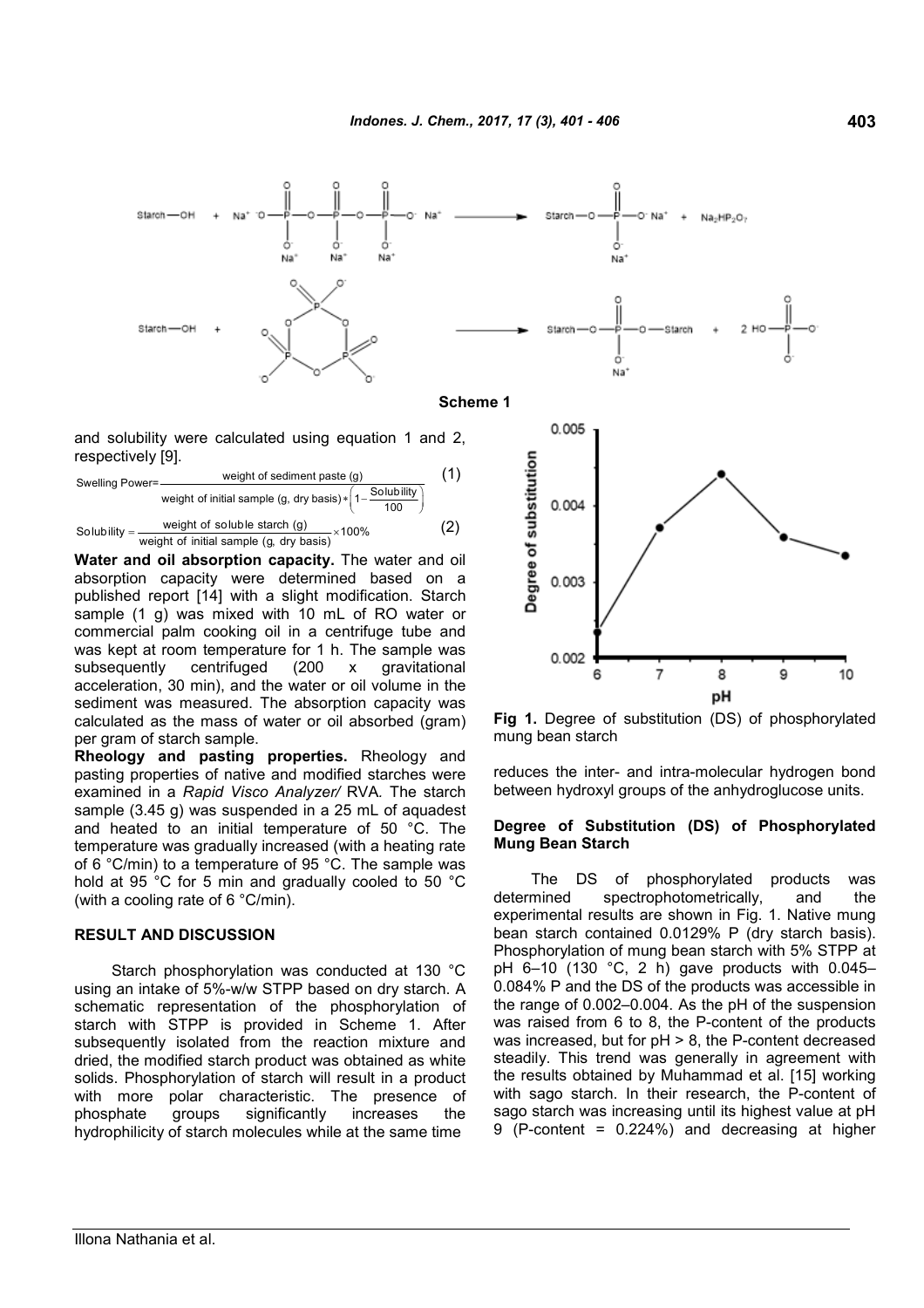

and solubility were calculated using equation 1 and 2, respectively [9].

Swelling Power = 
$$
\frac{\text{weight of sediment paste (g)}}{\text{weight of initial sample (g, dry basis)} * \left(1 - \frac{\text{Solubility}}{100}\right)}
$$

\nSolubility =  $\frac{\text{weight of soluble start (g)}}{\text{weight of initial sample (g, dry basis)} \times 100\%$  (2)

**Water and oil absorption capacity.** The water and oil absorption capacity were determined based on a published report [14] with a slight modification. Starch sample (1 g) was mixed with 10 mL of RO water or commercial palm cooking oil in a centrifuge tube and was kept at room temperature for 1 h. The sample was subsequently centrifuged (200 x gravitational acceleration, 30 min), and the water or oil volume in the sediment was measured. The absorption capacity was calculated as the mass of water or oil absorbed (gram) per gram of starch sample.

**Rheology and pasting properties.** Rheology and pasting properties of native and modified starches were examined in a *Rapid Visco Analyzer/* RVA*.* The starch sample (3.45 g) was suspended in a 25 mL of aquadest and heated to an initial temperature of 50 °C. The temperature was gradually increased (with a heating rate of 6 °C/min) to a temperature of 95 °C. The sample was hold at 95 °C for 5 min and gradually cooled to 50 °C (with a cooling rate of 6 °C/min).

#### **RESULT AND DISCUSSION**

Starch phosphorylation was conducted at 130 °C using an intake of 5%-w/w STPP based on dry starch. A schematic representation of the phosphorylation of starch with STPP is provided in Scheme 1. After subsequently isolated from the reaction mixture and dried, the modified starch product was obtained as white solids. Phosphorylation of starch will result in a product with more polar characteristic. The presence of phosphate groups significantly increases the hydrophilicity of starch molecules while at the same time



**Fig 1.** Degree of substitution (DS) of phosphorylated mung bean starch

reduces the inter- and intra-molecular hydrogen bond between hydroxyl groups of the anhydroglucose units.

### **Degree of Substitution (DS) of Phosphorylated Mung Bean Starch**

The DS of phosphorylated products was determined spectrophotometrically, and the experimental results are shown in Fig. 1. Native mung bean starch contained 0.0129% P (dry starch basis). Phosphorylation of mung bean starch with 5% STPP at pH 6–10 (130 °C, 2 h) gave products with 0.045– 0.084% P and the DS of the products was accessible in the range of 0.002–0.004. As the pH of the suspension was raised from 6 to 8, the P-content of the products was increased, but for pH > 8, the P-content decreased steadily. This trend was generally in agreement with the results obtained by Muhammad et al. [15] working with sago starch. In their research, the P-content of sago starch was increasing until its highest value at pH 9 (P-content = 0.224%) and decreasing at higher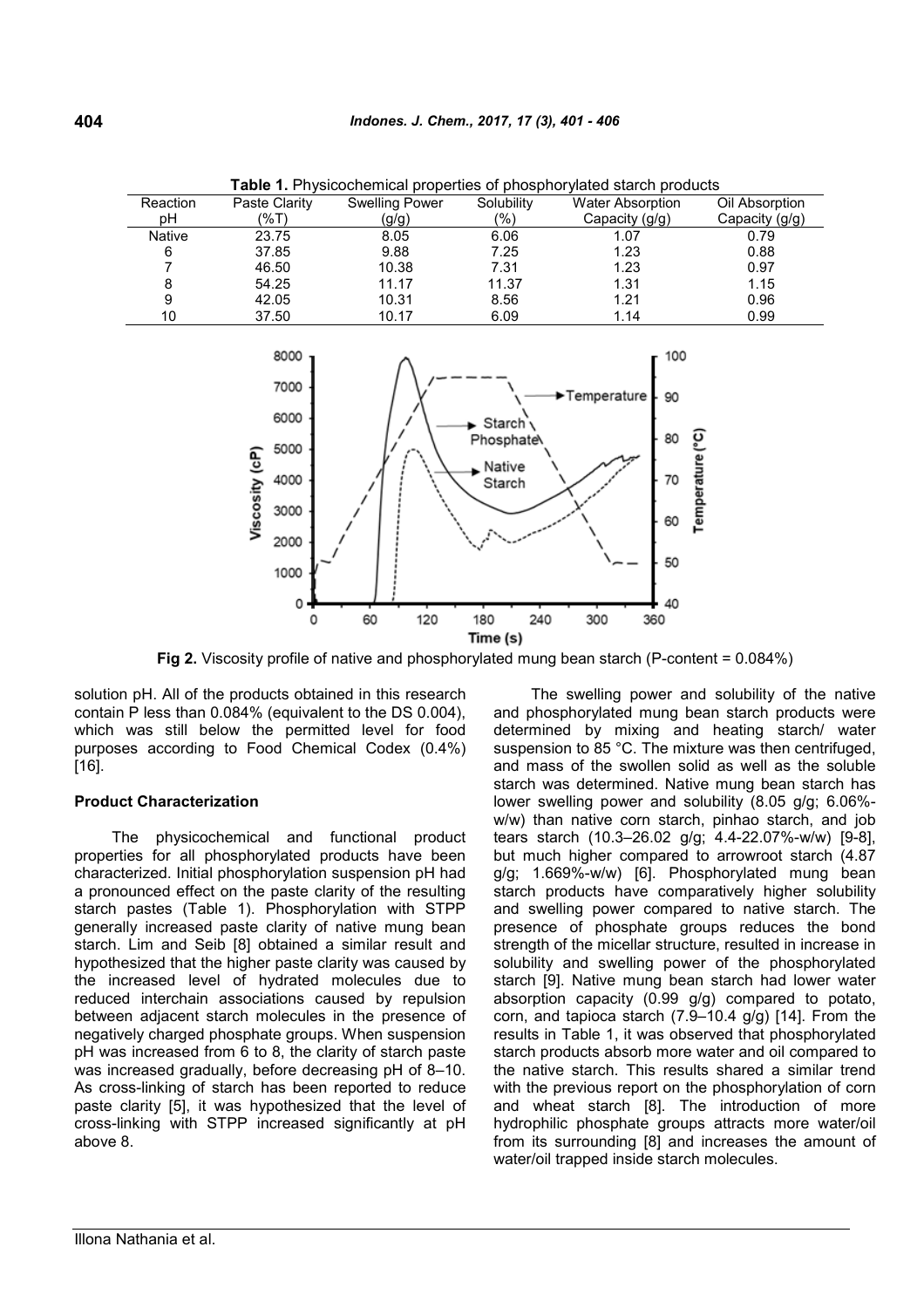| <b>Table 1.</b> Physicochemical properties of phosphoryiated starch products |               |                       |               |                         |                |
|------------------------------------------------------------------------------|---------------|-----------------------|---------------|-------------------------|----------------|
| Reaction                                                                     | Paste Clarity | <b>Swelling Power</b> | Solubility    | <b>Water Absorption</b> | Oil Absorption |
| рH                                                                           | (%T)          | (g/g)                 | $\frac{1}{2}$ | Capacity (g/g)          | Capacity (g/g) |
| Native                                                                       | 23.75         | 8.05                  | 6.06          | 1.07                    | 0.79           |
| 6                                                                            | 37.85         | 9.88                  | 7.25          | 1.23                    | 0.88           |
|                                                                              | 46.50         | 10.38                 | 7.31          | 1.23                    | 0.97           |
| 8                                                                            | 54.25         | 11.17                 | 11.37         | 1.31                    | 1.15           |
| 9                                                                            | 42.05         | 10.31                 | 8.56          | 1.21                    | 0.96           |
| 10                                                                           | 37.50         | 10.17                 | 6.09          | 1.14                    | 0.99           |

**Table 1.** Physicochemical properties of phosphorylated starch products



**Fig 2.** Viscosity profile of native and phosphorylated mung bean starch (P-content = 0.084%)

solution pH. All of the products obtained in this research contain P less than 0.084% (equivalent to the DS 0.004), which was still below the permitted level for food purposes according to Food Chemical Codex (0.4%) [16].

#### **Product Characterization**

The physicochemical and functional product properties for all phosphorylated products have been characterized. Initial phosphorylation suspension pH had a pronounced effect on the paste clarity of the resulting starch pastes (Table 1). Phosphorylation with STPP generally increased paste clarity of native mung bean starch. Lim and Seib [8] obtained a similar result and hypothesized that the higher paste clarity was caused by the increased level of hydrated molecules due to reduced interchain associations caused by repulsion between adjacent starch molecules in the presence of negatively charged phosphate groups. When suspension pH was increased from 6 to 8, the clarity of starch paste was increased gradually, before decreasing pH of 8–10. As cross-linking of starch has been reported to reduce paste clarity [5], it was hypothesized that the level of cross-linking with STPP increased significantly at pH above 8.

The swelling power and solubility of the native and phosphorylated mung bean starch products were determined by mixing and heating starch/ water suspension to 85 °C. The mixture was then centrifuged, and mass of the swollen solid as well as the soluble starch was determined. Native mung bean starch has lower swelling power and solubility (8.05 g/g; 6.06% w/w) than native corn starch, pinhao starch, and job tears starch (10.3–26.02 g/g; 4.4-22.07%-w/w) [9-8], but much higher compared to arrowroot starch (4.87 g/g; 1.669%-w/w) [6]. Phosphorylated mung bean starch products have comparatively higher solubility and swelling power compared to native starch. The presence of phosphate groups reduces the bond strength of the micellar structure, resulted in increase in solubility and swelling power of the phosphorylated starch [9]. Native mung bean starch had lower water absorption capacity (0.99 g/g) compared to potato, corn, and tapioca starch (7.9–10.4 g/g) [14]. From the results in Table 1, it was observed that phosphorylated starch products absorb more water and oil compared to the native starch. This results shared a similar trend with the previous report on the phosphorylation of corn and wheat starch [8]. The introduction of more hydrophilic phosphate groups attracts more water/oil from its surrounding [8] and increases the amount of water/oil trapped inside starch molecules.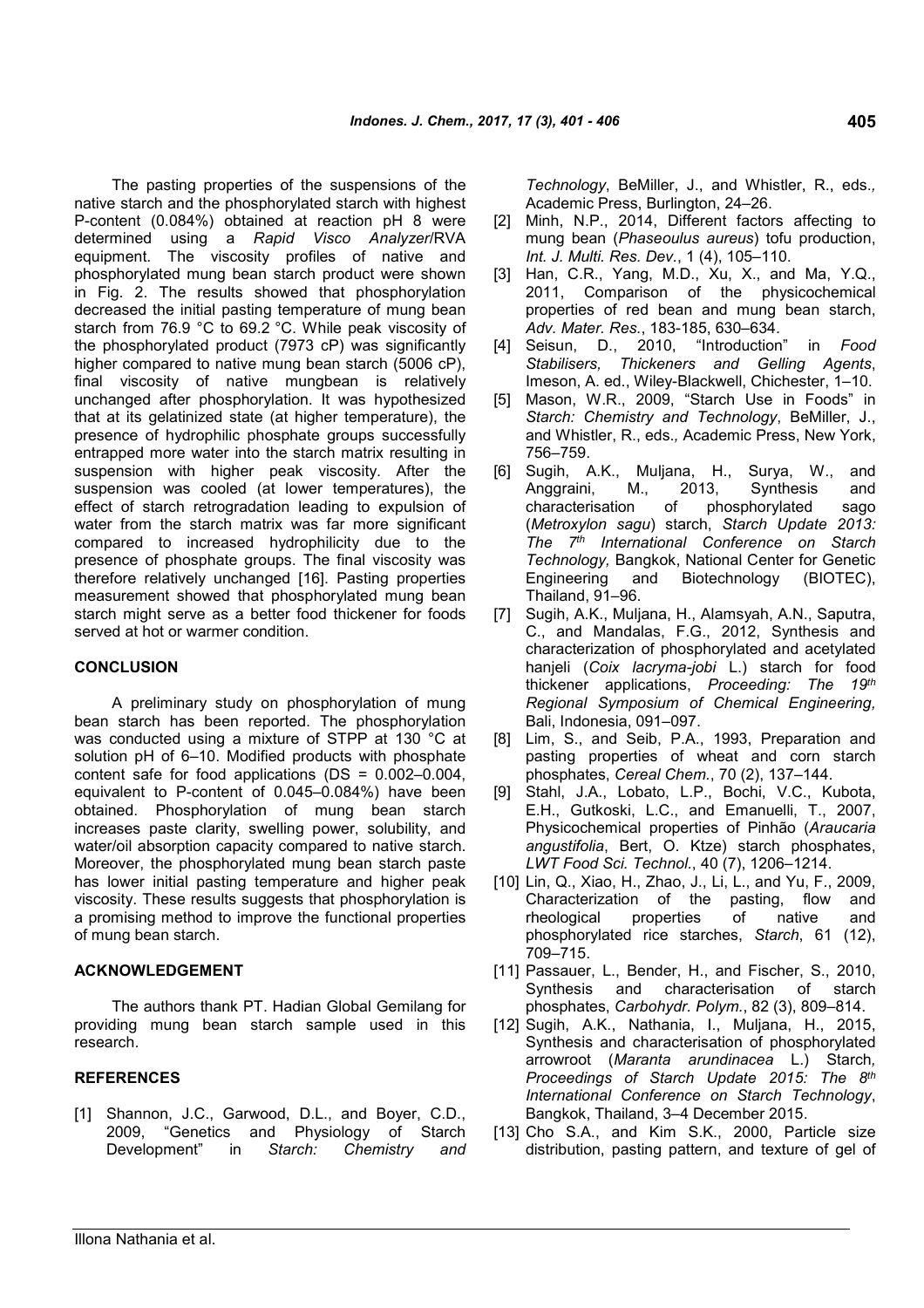The pasting properties of the suspensions of the native starch and the phosphorylated starch with highest P-content (0.084%) obtained at reaction pH 8 were determined using a *Rapid Visco Analyzer*/RVA equipment. The viscosity profiles of native and phosphorylated mung bean starch product were shown in Fig. 2. The results showed that phosphorylation decreased the initial pasting temperature of mung bean starch from 76.9 °C to 69.2 °C. While peak viscosity of the phosphorylated product (7973 cP) was significantly higher compared to native mung bean starch (5006 cP), final viscosity of native mungbean is relatively unchanged after phosphorylation. It was hypothesized that at its gelatinized state (at higher temperature), the presence of hydrophilic phosphate groups successfully entrapped more water into the starch matrix resulting in suspension with higher peak viscosity. After the suspension was cooled (at lower temperatures), the effect of starch retrogradation leading to expulsion of water from the starch matrix was far more significant compared to increased hydrophilicity due to the presence of phosphate groups. The final viscosity was therefore relatively unchanged [16]. Pasting properties measurement showed that phosphorylated mung bean starch might serve as a better food thickener for foods served at hot or warmer condition.

## **CONCLUSION**

A preliminary study on phosphorylation of mung bean starch has been reported. The phosphorylation was conducted using a mixture of STPP at 130 °C at solution pH of 6–10. Modified products with phosphate content safe for food applications (DS = 0.002–0.004, equivalent to P-content of 0.045–0.084%) have been obtained. Phosphorylation of mung bean starch increases paste clarity, swelling power, solubility, and water/oil absorption capacity compared to native starch. Moreover, the phosphorylated mung bean starch paste has lower initial pasting temperature and higher peak viscosity. These results suggests that phosphorylation is a promising method to improve the functional properties of mung bean starch.

#### **ACKNOWLEDGEMENT**

The authors thank PT. Hadian Global Gemilang for providing mung bean starch sample used in this research.

## **REFERENCES**

[1] Shannon, J.C., Garwood, D.L., and Boyer, C.D., 2009, "Genetics and Physiology of Starch Development" in *Starch: Chemistry and* *Technology*, BeMiller, J., and Whistler, R., eds.*,* Academic Press, Burlington, 24–26.

- [2] Minh, N.P., 2014, Different factors affecting to mung bean (*Phaseoulus aureus*) tofu production, *Int. J. Multi. Res. Dev.*, 1 (4), 105–110.
- [3] Han, C.R., Yang, M.D., Xu, X., and Ma, Y.Q., 2011, Comparison of the physicochemical properties of red bean and mung bean starch, *Adv. Mater. Res.*, 183-185, 630–634.
- [4] Seisun, D., 2010, "Introduction" in *Food Stabilisers, Thickeners and Gelling Agents*, Imeson, A. ed., Wiley-Blackwell, Chichester, 1–10.
- [5] Mason, W.R., 2009, "Starch Use in Foods" in *Starch: Chemistry and Technology*, BeMiller, J., and Whistler, R., eds.*,* Academic Press, New York, 756–759.
- [6] Sugih, A.K., Muljana, H., Surya, W., and Anggraini, M., 2013, Synthesis and characterisation of phosphorylated sago (*Metroxylon sagu*) starch, *Starch Update 2013: The 7th International Conference on Starch Technology,* Bangkok, National Center for Genetic Engineering and Biotechnology (BIOTEC), Thailand, 91–96.
- [7] Sugih, A.K., Muljana, H., Alamsyah, A.N., Saputra, C., and Mandalas, F.G., 2012, Synthesis and characterization of phosphorylated and acetylated hanjeli (*Coix lacryma-jobi* L.) starch for food thickener applications, *Proceeding: The 19th Regional Symposium of Chemical Engineering,* Bali, Indonesia, 091–097.
- [8] Lim, S., and Seib, P.A., 1993, Preparation and pasting properties of wheat and corn starch phosphates, *Cereal Chem.*, 70 (2), 137–144.
- [9] Stahl, J.A., Lobato, L.P., Bochi, V.C., Kubota, E.H., Gutkoski, L.C., and Emanuelli, T., 2007, Physicochemical properties of Pinhão (*Araucaria angustifolia*, Bert, O. Ktze) starch phosphates, *LWT Food Sci. Technol.*, 40 (7), 1206–1214.
- [10] Lin, Q., Xiao, H., Zhao, J., Li, L., and Yu, F., 2009, Characterization of the pasting, flow and rheological properties of native and phosphorylated rice starches, *Starch*, 61 (12), 709–715.
- [11] Passauer, L., Bender, H., and Fischer, S., 2010, Synthesis and characterisation of starch phosphates, *Carbohydr. Polym.*, 82 (3), 809–814.
- [12] Sugih, A.K., Nathania, I., Muljana, H., 2015, Synthesis and characterisation of phosphorylated arrowroot (*Maranta arundinacea* L.) Starch*, Proceedings of Starch Update 2015: The 8th International Conference on Starch Technology*, Bangkok, Thailand, 3–4 December 2015.
- [13] Cho S.A., and Kim S.K., 2000, Particle size distribution, pasting pattern, and texture of gel of